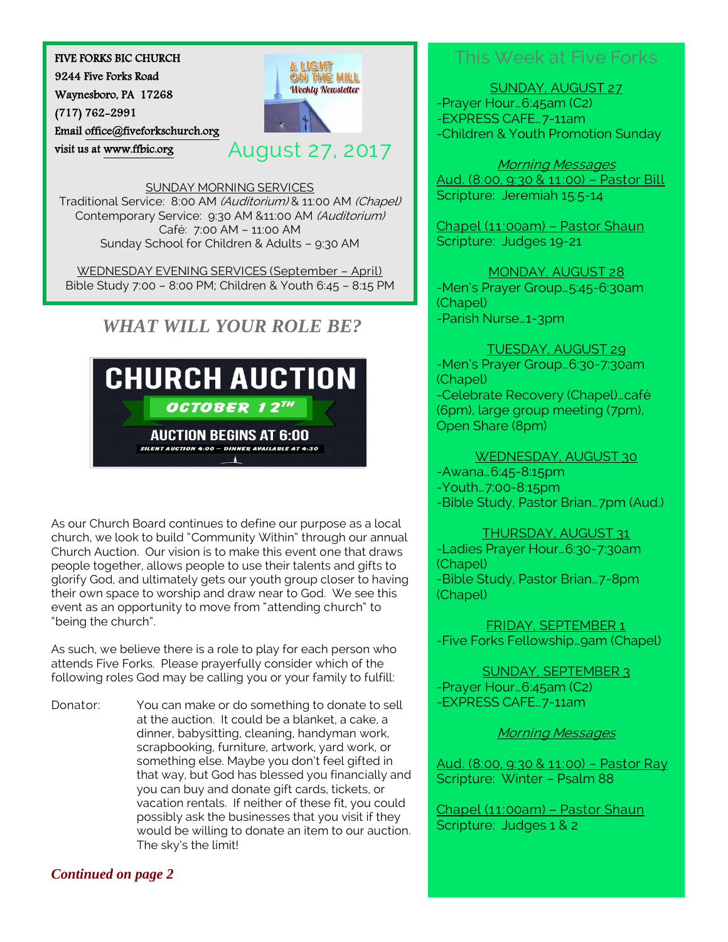FIVE FORKS BIC CHURCH

9244 Five Forks Road

Waynesboro, PA 17268

(717) 762-2991

visit us at [www.ffbic.org](http://www.ffbic.org/) 

Emai[l office@fiveforkschurch.org](mailto:office@fiveforkschurch.org) 

ON THE HILL **Weekly Newsletter** August 27, 2017

A LIGHT

SUNDAY MORNING SERVICES

Traditional Service: 8:00 AM (Auditorium) & 11:00 AM (Chapel) Contemporary Service: 9:30 AM &11:00 AM (Auditorium) Café: 7:00 AM – 11:00 AM Sunday School for Children & Adults – 9:30 AM

WEDNESDAY EVENING SERVICES (September – April) Bible Study 7:00 – 8:00 PM; Children & Youth 6:45 – 8:15 PM

# *WHAT WILL YOUR ROLE BE?*



As our Church Board continues to define our purpose as a local church, we look to build "Community Within" through our annual Church Auction. Our vision is to make this event one that draws people together, allows people to use their talents and gifts to glorify God, and ultimately gets our youth group closer to having their own space to worship and draw near to God. We see this event as an opportunity to move from "attending church" to "being the church".

As such, we believe there is a role to play for each person who attends Five Forks. Please prayerfully consider which of the following roles God may be calling you or your family to fulfill:

Donator: You can make or do something to donate to sell at the auction. It could be a blanket, a cake, a dinner, babysitting, cleaning, handyman work, scrapbooking, furniture, artwork, yard work, or something else. Maybe you don't feel gifted in that way, but God has blessed you financially and you can buy and donate gift cards, tickets, or vacation rentals. If neither of these fit, you could possibly ask the businesses that you visit if they would be willing to donate an item to our auction. The sky's the limit!

## This Week at Five Forks

SUNDAY, AUGUST 27 -Prayer Hour…6:45am (C2) -EXPRESS CAFE…7-11am -Children & Youth Promotion Sunday

Morning Messages Aud. (8:00, 9:30 & 11:00) – Pastor Bill Scripture: Jeremiah 15:5-14

Chapel (11:00am) – Pastor Shaun Scripture: Judges 19-21

MONDAY, AUGUST 28 -Men's Prayer Group…5:45-6:30am (Chapel) -Parish Nurse…1-3pm

### TUESDAY, AUGUST 29

-Men's Prayer Group…6:30-7:30am (Chapel) -Celebrate Recovery (Chapel)…café (6pm), large group meeting (7pm), Open Share (8pm)

WEDNESDAY, AUGUST 30

-Awana…6:45-8:15pm -Youth…7:00-8:15pm -Bible Study, Pastor Brian…7pm (Aud.)

### THURSDAY, AUGUST 31

-Ladies Prayer Hour…6:30-7:30am (Chapel) -Bible Study, Pastor Brian…7-8pm (Chapel)

FRIDAY, SEPTEMBER 1 -Five Forks Fellowship…9am (Chapel)

SUNDAY, SEPTEMBER 3 -Prayer Hour…6:45am (C2) -EXPRESS CAFE…7-11am

Morning Messages

Aud. (8:00, 9:30 & 11:00) – Pastor Ray Scripture: Winter – Psalm 88

Chapel (11:00am) – Pastor Shaun Scripture: Judges 1 & 2

## *Continued on page 2*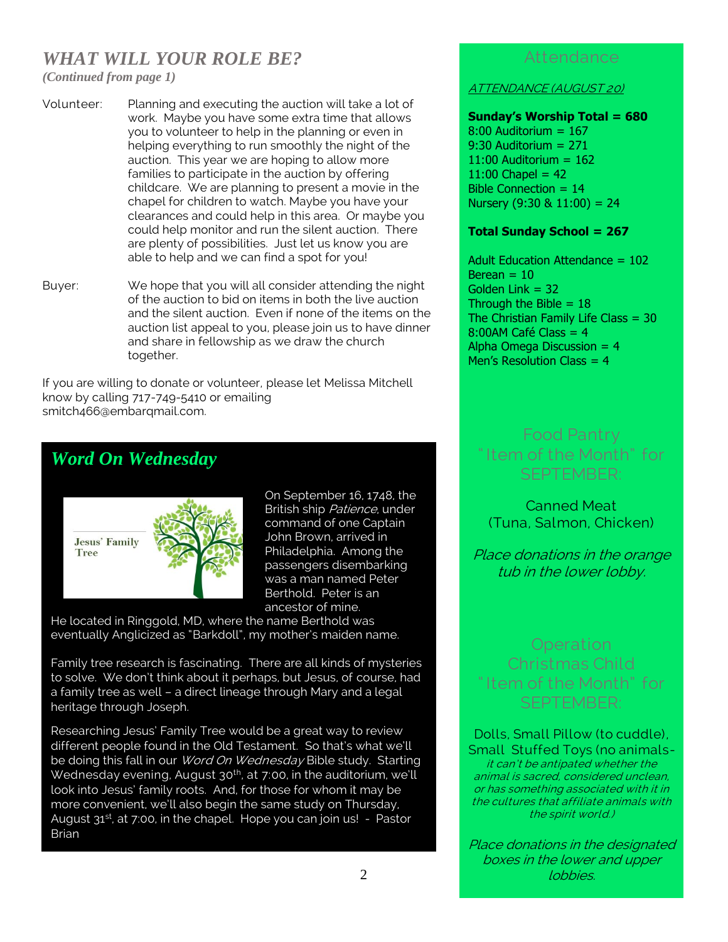# *WHAT WILL YOUR ROLE BE?*

*(Continued from page 1)*

Volunteer: Planning and executing the auction will take a lot of work. Maybe you have some extra time that allows you to volunteer to help in the planning or even in helping everything to run smoothly the night of the auction. This year we are hoping to allow more families to participate in the auction by offering childcare. We are planning to present a movie in the chapel for children to watch. Maybe you have your clearances and could help in this area. Or maybe you could help monitor and run the silent auction. There are plenty of possibilities. Just let us know you are able to help and we can find a spot for you!

Buyer: We hope that you will all consider attending the night of the auction to bid on items in both the live auction and the silent auction. Even if none of the items on the auction list appeal to you, please join us to have dinner and share in fellowship as we draw the church together.

If you are willing to donate or volunteer, please let Melissa Mitchell know by calling 717-749-5410 or emailing smitch466@embarqmail.com.



On September 16, 1748, the British ship Patience, under command of one Captain John Brown, arrived in Philadelphia. Among the passengers disembarking was a man named Peter Berthold. Peter is an ancestor of mine.

He located in Ringgold, MD, where the name Berthold was eventually Anglicized as "Barkdoll", my mother's maiden name.

Family tree research is fascinating. There are all kinds of mysteries to solve. We don't think about it perhaps, but Jesus, of course, had a family tree as well – a direct lineage through Mary and a legal heritage through Joseph.

Researching Jesus' Family Tree would be a great way to review different people found in the Old Testament. So that's what we'll be doing this fall in our Word On Wednesday Bible study. Starting Wednesday evening, August  $30<sup>th</sup>$ , at 7:00, in the auditorium, we'll look into Jesus' family roots. And, for those for whom it may be more convenient, we'll also begin the same study on Thursday, August  $31<sup>st</sup>$ , at 7:00, in the chapel. Hope you can join us! - Pastor Brian

### Attendance

### ATTENDANCE (AUGUST 20)

### **Sunday's Worship Total = 680**

 $8:00$  Auditorium =  $167$ 9:30 Auditorium = 271 11:00 Auditorium =  $162$  $11:00$  Chapel = 42 Bible Connection = 14 Nursery  $(9:30 \& 11:00) = 24$ 

### **Total Sunday School = 267**

Adult Education Attendance = 102  $Berean = 10$ Golden Link = 32 Through the Bible  $= 18$ The Christian Family Life Class = 30  $8:00$ AM Café Class = 4 Alpha Omega Discussion  $= 4$ Men's Resolution Class = 4

## Food Pantry " Item of the Month" for SEPTEMBER:

Canned Meat (Tuna, Salmon, Chicken)

Place donations in the orange tub in the lower lobby.

Operation Christmas Child " Item of the Month" for SEPTEMBER:

Dolls, Small Pillow (to cuddle), Small Stuffed Toys (no animalsit can't be antipated whether the animal is sacred, considered unclean, or has something associated with it in the cultures that affiliate animals with the spirit world.)

Place donations in the designated boxes in the lower and upper lobbies.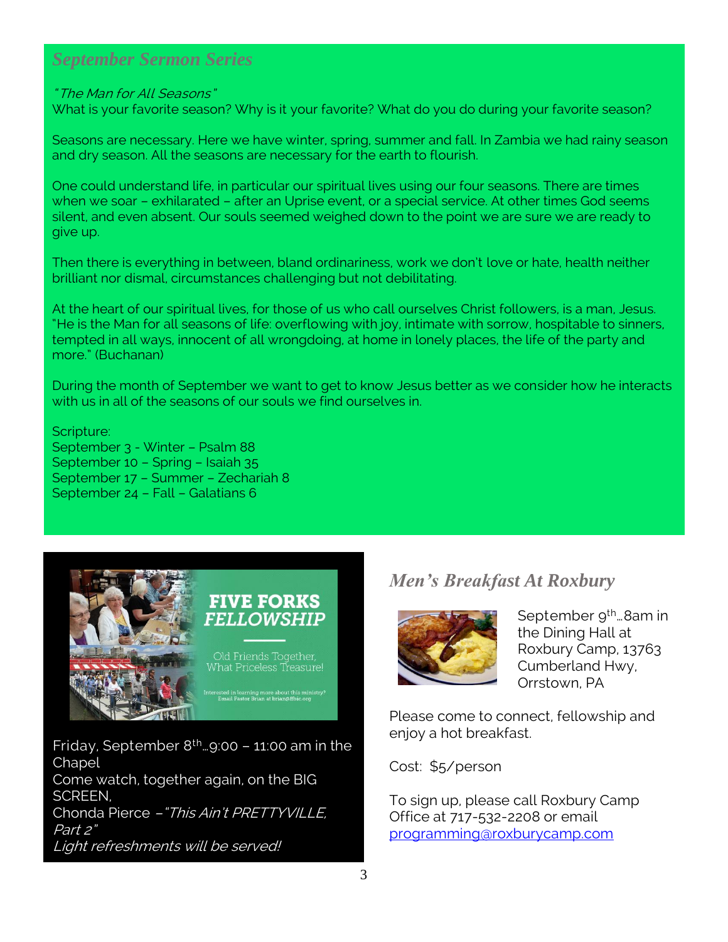## *September Sermon Series*

### " The Man for All Seasons"

What is your favorite season? Why is it your favorite? What do you do during your favorite season?

Seasons are necessary. Here we have winter, spring, summer and fall. In Zambia we had rainy season and dry season. All the seasons are necessary for the earth to flourish.

One could understand life, in particular our spiritual lives using our four seasons. There are times when we soar – exhilarated – after an Uprise event, or a special service. At other times God seems silent, and even absent. Our souls seemed weighed down to the point we are sure we are ready to give up.

Then there is everything in between, bland ordinariness, work we don't love or hate, health neither brilliant nor dismal, circumstances challenging but not debilitating.

At the heart of our spiritual lives, for those of us who call ourselves Christ followers, is a man, Jesus. "He is the Man for all seasons of life: overflowing with joy, intimate with sorrow, hospitable to sinners, tempted in all ways, innocent of all wrongdoing, at home in lonely places, the life of the party and more." (Buchanan)

During the month of September we want to get to know Jesus better as we consider how he interacts with us in all of the seasons of our souls we find ourselves in.

Scripture: September 3 - Winter – Psalm 88 September 10 – Spring – Isaiah 35 September 17 – Summer – Zechariah 8 September 24 – Fall – Galatians 6



Friday, September  $8<sup>th</sup>$  9:00 – 11:00 am in the **Chapel** Come watch, together again, on the BIG SCREEN, Chonda Pierce –"This Ain't PRETTYVILLE, Part 2" Light refreshments will be served!

# *Men's Breakfast At Roxbury*



September 9<sup>th</sup> ...8am in the Dining Hall at Roxbury Camp, 13763 Cumberland Hwy, Orrstown, PA

Please come to connect, fellowship and enjoy a hot breakfast.

Cost: \$5/person

To sign up, please call Roxbury Camp Office at 717-532-2208 or email [programming@roxburycamp.com](mailto:programming@roxburycamp.com)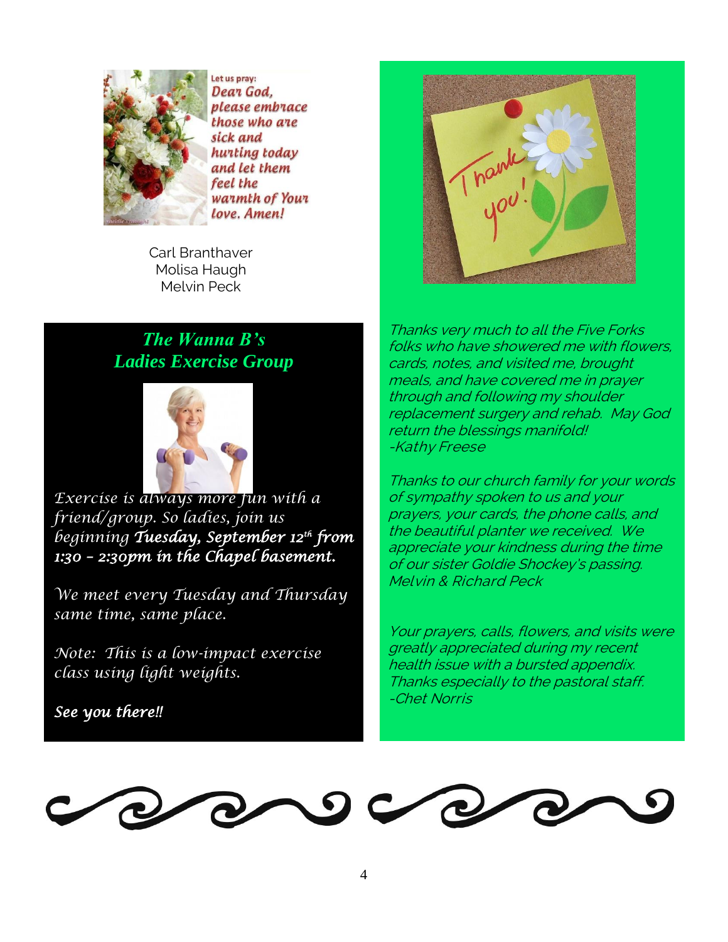

Let us pray: Dear God. please embrace those who are sick and hunting today and let them feel the warmth of Your love. Amen!

Carl Branthaver Molisa Haugh Melvin Peck

# *The Wanna B's Ladies Exercise Group*



*Exercise is always more fun with a friend/group. So ladies, join us beginning Tuesday, September 12th from 1:30 – 2:30pm in the Chapel basement.* 

*We meet every Tuesday and Thursday same time, same place.*

*Note: This is a low-impact exercise class using light weights.*

*See you there!!* 



Thanks very much to all the Five Forks folks who have showered me with flowers, cards, notes, and visited me, brought meals, and have covered me in prayer through and following my shoulder replacement surgery and rehab. May God return the blessings manifold! -Kathy Freese

Thanks to our church family for your words of sympathy spoken to us and your prayers, your cards, the phone calls, and the beautiful planter we received. We appreciate your kindness during the time <sup>o</sup>f our sister Goldie Shockey's passing. Melvin & Richard Peck

Your prayers, calls, flowers, and visits were greatly appreciated during my recent health issue with a bursted appendix. Thanks especially to the pastoral staff. -Chet Norris

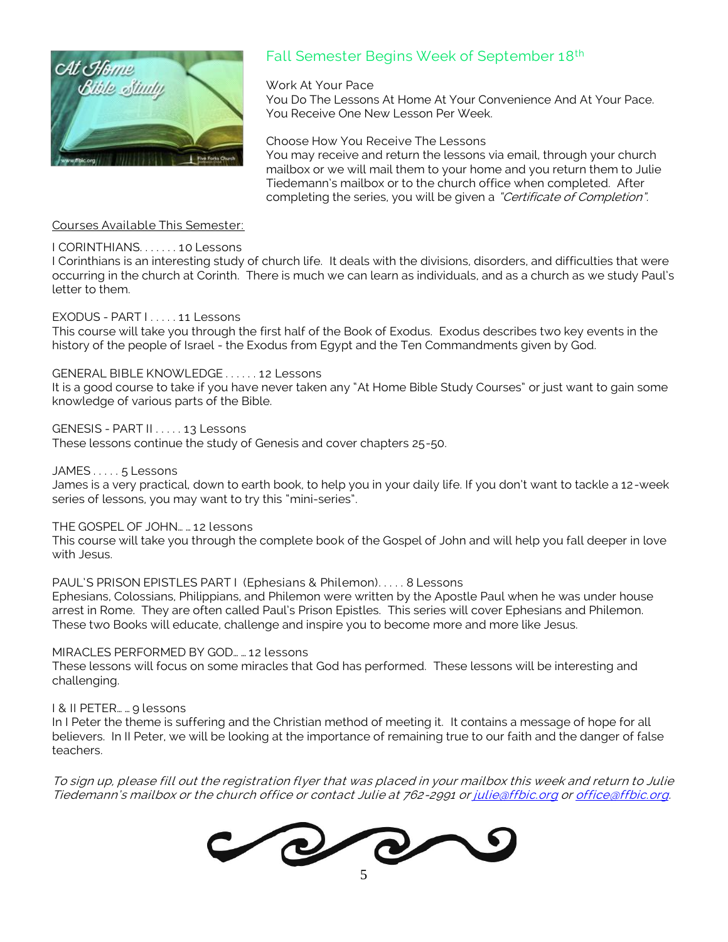

## Fall Semester Begins Week of September 18th

#### Work At Your Pace

You Do The Lessons At Home At Your Convenience And At Your Pace. You Receive One New Lesson Per Week.

#### Choose How You Receive The Lessons

You may receive and return the lessons via email, through your church mailbox or we will mail them to your home and you return them to Julie Tiedemann's mailbox or to the church office when completed. After completing the series, you will be given a "Certificate of Completion".

#### Courses Available This Semester:

#### I CORINTHIANS. . . . . . . 10 Lessons

I Corinthians is an interesting study of church life. It deals with the divisions, disorders, and difficulties that were occurring in the church at Corinth. There is much we can learn as individuals, and as a church as we study Paul's letter to them.

#### EXODUS - PART I . . . . . 11 Lessons

This course will take you through the first half of the Book of Exodus. Exodus describes two key events in the history of the people of Israel - the Exodus from Egypt and the Ten Commandments given by God.

#### GENERAL BIBLE KNOWLEDGE . . . . . . 12 Lessons

It is a good course to take if you have never taken any "At Home Bible Study Courses" or just want to gain some knowledge of various parts of the Bible.

GENESIS - PART II . . . . . 13 Lessons

These lessons continue the study of Genesis and cover chapters 25-50.

JAMES . . . . . 5 Lessons

James is a very practical, down to earth book, to help you in your daily life. If you don't want to tackle a 12-week series of lessons, you may want to try this "mini-series".

#### THE GOSPEL OF JOHN… … 12 lessons

This course will take you through the complete book of the Gospel of John and will help you fall deeper in love with Jesus.

### PAUL'S PRISON EPISTLES PART I (Ephesians & Philemon). . . . . 8 Lessons

Ephesians, Colossians, Philippians, and Philemon were written by the Apostle Paul when he was under house arrest in Rome. They are often called Paul's Prison Epistles. This series will cover Ephesians and Philemon. These two Books will educate, challenge and inspire you to become more and more like Jesus.

MIRACLES PERFORMED BY GOD… … 12 lessons

These lessons will focus on some miracles that God has performed. These lessons will be interesting and challenging.

I & II PETER… … 9 lessons

In I Peter the theme is suffering and the Christian method of meeting it. It contains a message of hope for all believers. In II Peter, we will be looking at the importance of remaining true to our faith and the danger of false teachers.

To sign up, please fill out the registration flyer that was placed in your mailbox this week and return to Julie Tiedemann's mailbox or the church office or contact Julie at 762-2991 o[r julie@ffbic.org](mailto:julie@ffbic.org) o[r office@ffbic.org.](mailto:office@ffbic.org)

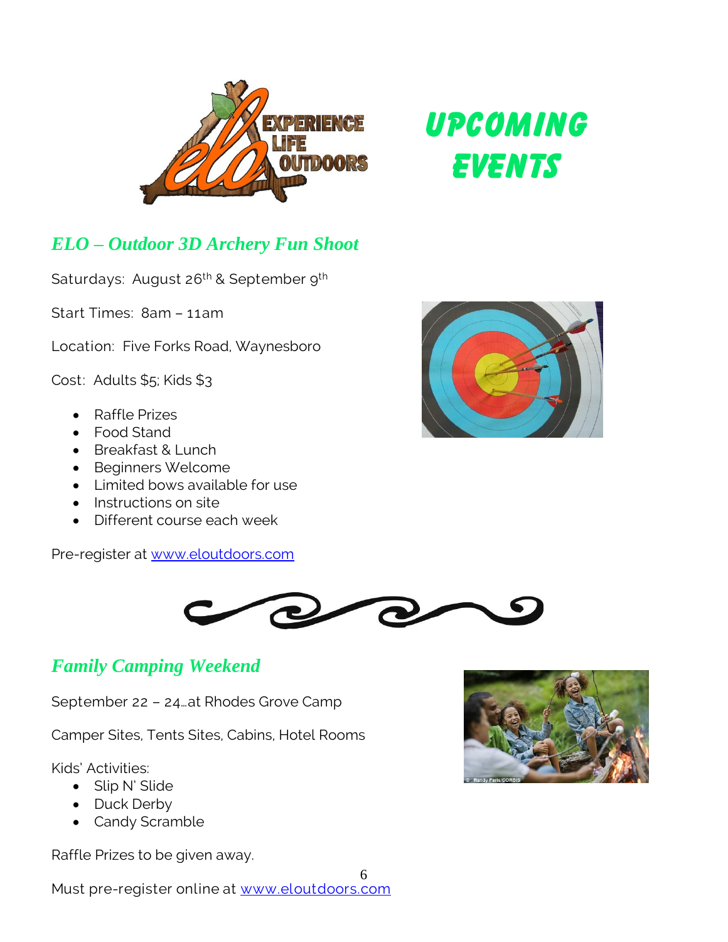

**Upcoming Events**

# *ELO – Outdoor 3D Archery Fun Shoot*

Saturdays: August 26<sup>th</sup> & September 9<sup>th</sup>

Start Times: 8am – 11am

Location: Five Forks Road, Waynesboro

Cost: Adults \$5; Kids \$3

- Raffle Prizes
- Food Stand
- Breakfast & Lunch
- Beginners Welcome
- Limited bows available for use
- Instructions on site
- Different course each week

Pre-register at [www.eloutdoors.com](http://www.eloutdoors.com/)





# *Family Camping Weekend*

September 22 – 24…at Rhodes Grove Camp

Camper Sites, Tents Sites, Cabins, Hotel Rooms

Kids' Activities:

- Slip N' Slide
- Duck Derby
- Candy Scramble

Raffle Prizes to be given away.

6 Must pre-register online at [www.eloutdoors.com](http://www.eloutdoors.com/)

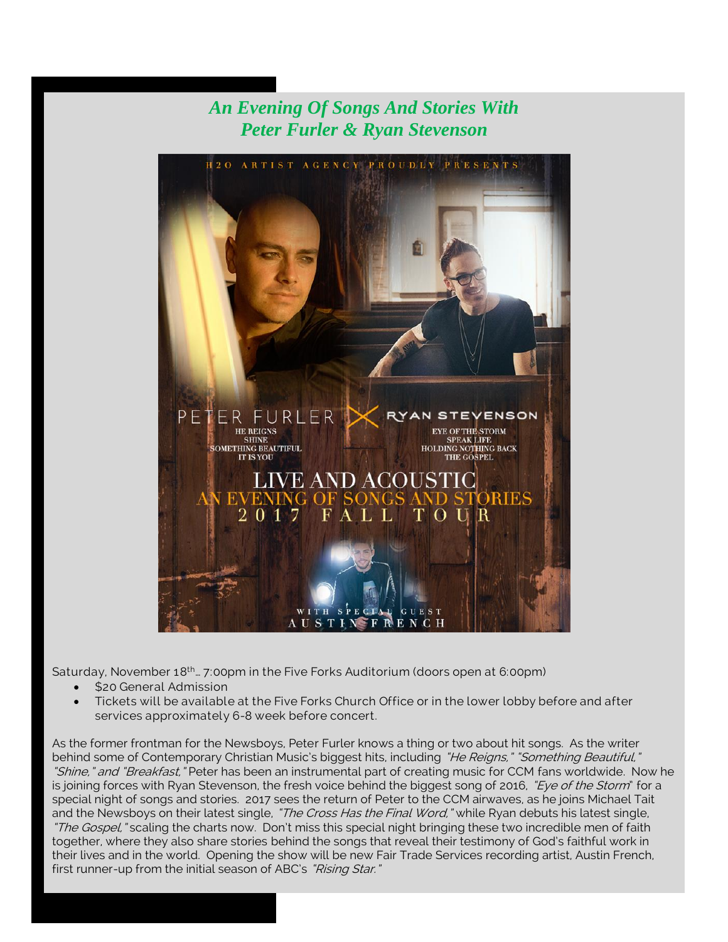## *An Evening Of Songs And Stories With Peter Furler & Ryan Stevenson*



Saturday, November 18th… 7:00pm in the Five Forks Auditorium (doors open at 6:00pm)

- \$20 General Admission
- Tickets will be available at the Five Forks Church Office or in the lower lobby before and after services approximately 6-8 week before concert.

first runner-up from the initial season of ABC's *"Rising Star."* As the former frontman for the Newsboys, Peter Furler knows a thing or two about hit songs. As the writer behind some of Contemporary Christian Music's biggest hits, including "He Reigns," "Something Beautiful," "Shine," and "Breakfast," Peter has been an instrumental part of creating music for CCM fans worldwide. Now he is joining forces with Ryan Stevenson, the fresh voice behind the biggest song of 2016, "Eye of the Storm" for a special night of songs and stories. 2017 sees the return of Peter to the CCM airwaves, as he joins Michael Tait and the Newsboys on their latest single, "*The Cross Has the Final Word*," while Ryan debuts his latest single, "The Gospel," scaling the charts now. Don't miss this special night bringing these two incredible men of faith together, where they also share stories behind the songs that reveal their testimony of God's faithful work in their lives and in the world. Opening the show will be new Fair Trade Services recording artist, Austin French,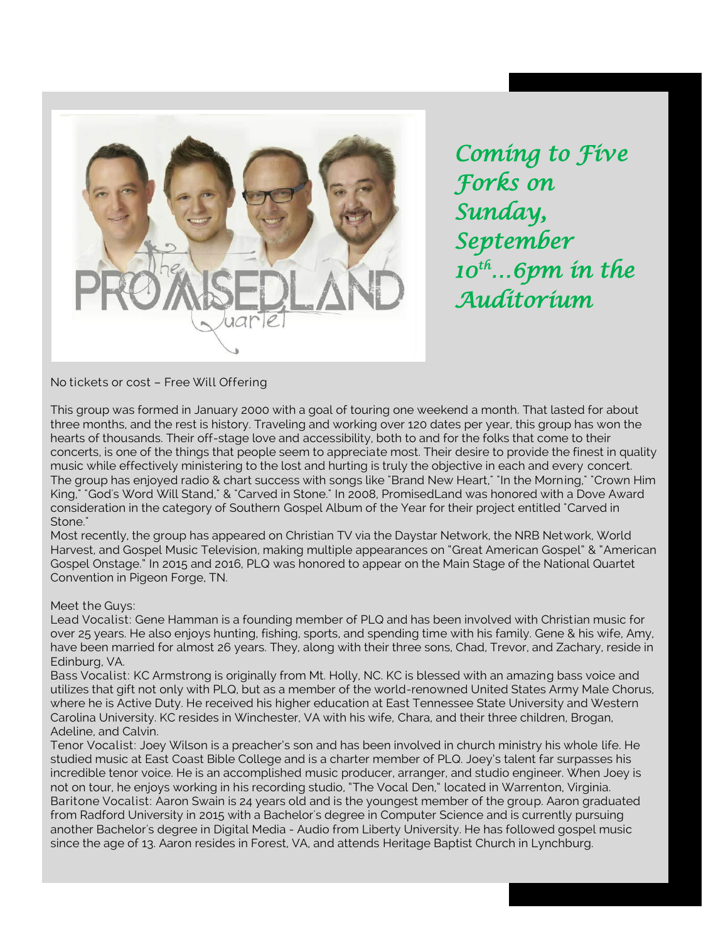

*Coming to Five Forks on Sunday, September 10th…6pm in the Auditorium* 

#### No tickets or cost – Free Will Offering

This group was formed in January 2000 with a goal of touring one weekend a month. That lasted for about three months, and the rest is history. Traveling and working over 120 dates per year, this group has won the hearts of thousands. Their off-stage love and accessibility, both to and for the folks that come to their concerts, is one of the things that people seem to appreciate most. Their desire to provide the finest in quality music while effectively ministering to the lost and hurting is truly the objective in each and every concert. The group has enjoyed radio & chart success with songs like "Brand New Heart," "In the Morning," "Crown Him King," "God's Word Will Stand," & "Carved in Stone." In 2008, PromisedLand was honored with a Dove Award consideration in the category of Southern Gospel Album of the Year for their project entitled "Carved in Stone."

Most recently, the group has appeared on Christian TV via the Daystar Network, the NRB Network, World Harvest, and Gospel Music Television, making multiple appearances on "Great American Gospel" & "American Gospel Onstage." In 2015 and 2016, PLQ was honored to appear on the Main Stage of the National Quartet Convention in Pigeon Forge, TN.

#### Meet the Guys:

Lead Vocalist: Gene Hamman is a founding member of PLQ and has been involved with Christian music for over 25 years. He also enjoys hunting, fishing, sports, and spending time with his family. Gene & his wife, Amy, have been married for almost 26 years. They, along with their three sons, Chad, Trevor, and Zachary, reside in Edinburg, VA.

Bass Vocalist: KC Armstrong is originally from Mt. Holly, NC. KC is blessed with an amazing bass voice and utilizes that gift not only with PLQ, but as a member of the world-renowned United States Army Male Chorus, where he is Active Duty. He received his higher education at East Tennessee State University and Western Carolina University. KC resides in Winchester, VA with his wife, Chara, and their three children, Brogan, Adeline, and Calvin.

Tenor Vocalist: Joey Wilson is a preacher's son and has been involved in church ministry his whole life. He studied music at East Coast Bible College and is a charter member of PLQ. Joey's talent far surpasses his incredible tenor voice. He is an accomplished music producer, arranger, and studio engineer. When Joey is not on tour, he enjoys working in his recording studio, "The Vocal Den," located in Warrenton, Virginia. Baritone Vocalist: Aaron Swain is 24 years old and is the youngest member of the group. Aaron graduated from Radford University in 2015 with a Bachelor's degree in Computer Science and is currently pursuing another Bachelor's degree in Digital Media - Audio from Liberty University. He has followed gospel music since the age of 13. Aaron resides in Forest, VA, and attends Heritage Baptist Church in Lynchburg.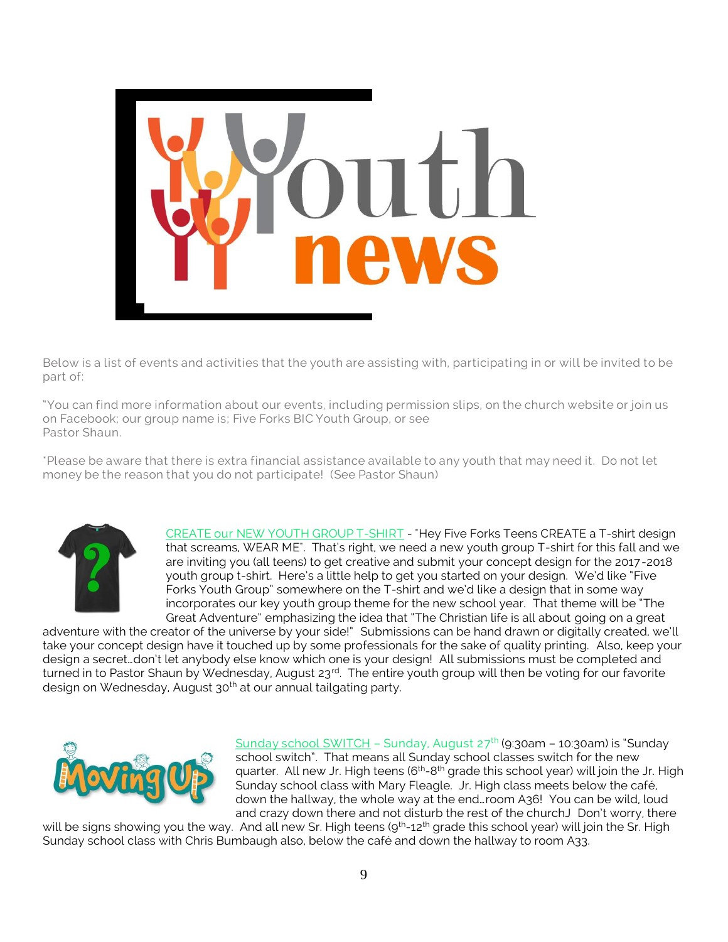

Below is a list of events and activities that the youth are assisting with, participating in or will be invited to be part of:

"You can find more information about our events, including permission slips, on the church website or join us on Facebook; our group name is; Five Forks BIC Youth Group, or see Pastor Shaun.

\*Please be aware that there is extra financial assistance available to any youth that may need it. Do not let money be the reason that you do not participate! (See Pastor Shaun)



CREATE our NEW YOUTH GROUP T-SHIRT - "Hey Five Forks Teens CREATE a T-shirt design that screams, WEAR ME". That's right, we need a new youth group T-shirt for this fall and we are inviting you (all teens) to get creative and submit your concept design for the 2017-2018 youth group t-shirt. Here's a little help to get you started on your design. We'd like "Five Forks Youth Group" somewhere on the T-shirt and we'd like a design that in some way incorporates our key youth group theme for the new school year. That theme will be "The Great Adventure" emphasizing the idea that "The Christian life is all about going on a great

adventure with the creator of the universe by your side!" Submissions can be hand drawn or digitally created, we'll take your concept design have it touched up by some professionals for the sake of quality printing. Also, keep your design a secret…don't let anybody else know which one is your design! All submissions must be completed and turned in to Pastor Shaun by Wednesday, August 23<sup>rd</sup>. The entire youth group will then be voting for our favorite design on Wednesday, August 30<sup>th</sup> at our annual tailgating party.



Sunday school SWITCH - Sunday, August  $27<sup>th</sup>$  (9:30am - 10:30am) is "Sunday school switch". That means all Sunday school classes switch for the new quarter. All new Jr. High teens (6<sup>th</sup>-8<sup>th</sup> grade this school year) will join the Jr. High Sunday school class with Mary Fleagle. Jr. High class meets below the café, down the hallway, the whole way at the end…room A36! You can be wild, loud and crazy down there and not disturb the rest of the churchJ Don't worry, there

will be signs showing you the way. And all new Sr. High teens (9 $^{\rm th}$ -12 $^{\rm th}$  grade this school year) will join the Sr. High Sunday school class with Chris Bumbaugh also, below the café and down the hallway to room A33.